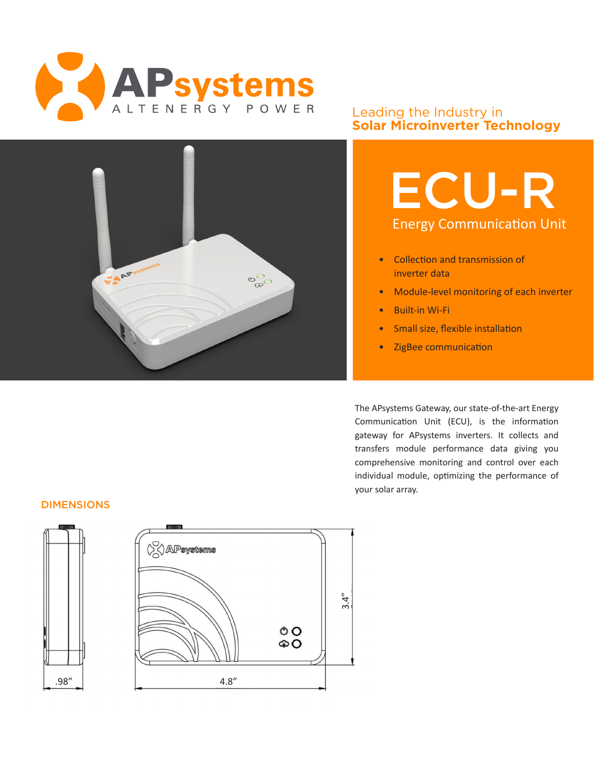

### Leading the Industry in **Solar Microinverter Technology**



# ECU-R Energy Communication Unit

- Collection and transmission of inverter data
- Module-level monitoring of each inverter
- Built-in Wi-Fi
- Small size, flexible installation
- ZigBee communication

The APsystems Gateway, our state-of-the-art Energy Communication Unit (ECU), is the information gateway for APsystems inverters. It collects and transfers module performance data giving you comprehensive monitoring and control over each individual module, optimizing the performance of your solar array.

#### DIMENSIONS